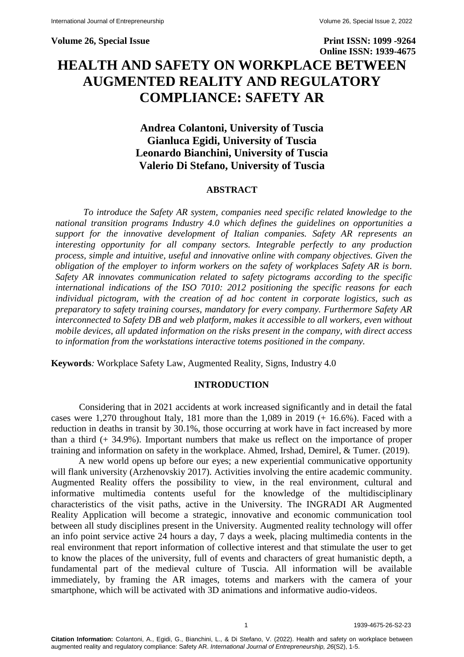**Volume 26, Special Issue Print ISSN: 1099 -9264 Online ISSN: 1939-4675 HEALTH AND SAFETY ON WORKPLACE BETWEEN AUGMENTED REALITY AND REGULATORY COMPLIANCE: SAFETY AR**

> **Andrea Colantoni, University of Tuscia Gianluca Egidi, University of Tuscia Leonardo Bianchini, University of Tuscia Valerio Di Stefano, University of Tuscia**

#### **ABSTRACT**

*To introduce the Safety AR system, companies need specific related knowledge to the national transition programs Industry 4.0 which defines the guidelines on opportunities a support for the innovative development of Italian companies. Safety AR represents an interesting opportunity for all company sectors. Integrable perfectly to any production process, simple and intuitive, useful and innovative online with company objectives. Given the obligation of the employer to inform workers on the safety of workplaces Safety AR is born. Safety AR innovates communication related to safety pictograms according to the specific international indications of the ISO 7010: 2012 positioning the specific reasons for each individual pictogram, with the creation of ad hoc content in corporate logistics, such as preparatory to safety training courses, mandatory for every company. Furthermore Safety AR interconnected to Safety DB and web platform, makes it accessible to all workers, even without mobile devices, all updated information on the risks present in the company, with direct access to information from the workstations interactive totems positioned in the company.*

**Keywords***:* Workplace Safety Law, Augmented Reality, Signs, Industry 4.0

# **INTRODUCTION**

Considering that in 2021 accidents at work increased significantly and in detail the fatal cases were 1,270 throughout Italy, 181 more than the 1,089 in 2019  $(+ 16.6\%)$ . Faced with a reduction in deaths in transit by 30.1%, those occurring at work have in fact increased by more than a third (+ 34.9%). Important numbers that make us reflect on the importance of proper training and information on safety in the workplace. Ahmed, Irshad, Demirel, & Tumer. (2019).

A new world opens up before our eyes; a new experiential communicative opportunity will flank university (Arzhenovskiy 2017). Activities involving the entire academic community. Augmented Reality offers the possibility to view, in the real environment, cultural and informative multimedia contents useful for the knowledge of the multidisciplinary characteristics of the visit paths, active in the University. The INGRADI AR Augmented Reality Application will become a strategic, innovative and economic communication tool between all study disciplines present in the University. Augmented reality technology will offer an info point service active 24 hours a day, 7 days a week, placing multimedia contents in the real environment that report information of collective interest and that stimulate the user to get to know the places of the university, full of events and characters of great humanistic depth, a fundamental part of the medieval culture of Tuscia. All information will be available immediately, by framing the AR images, totems and markers with the camera of your smartphone, which will be activated with 3D animations and informative audio-videos.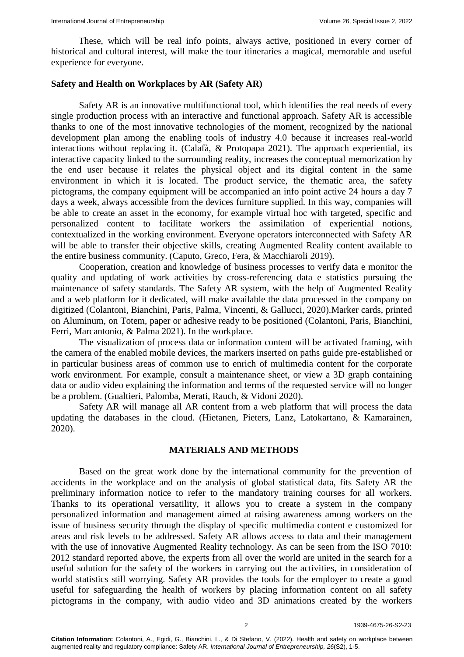These, which will be real info points, always active, positioned in every corner of historical and cultural interest, will make the tour itineraries a magical, memorable and useful experience for everyone.

### **Safety and Health on Workplaces by AR (Safety AR)**

Safety AR is an innovative multifunctional tool, which identifies the real needs of every single production process with an interactive and functional approach. Safety AR is accessible thanks to one of the most innovative technologies of the moment, recognized by the national development plan among the enabling tools of industry 4.0 because it increases real-world interactions without replacing it. (Calafà, & Protopapa 2021). The approach experiential, its interactive capacity linked to the surrounding reality, increases the conceptual memorization by the end user because it relates the physical object and its digital content in the same environment in which it is located. The product service, the thematic area, the safety pictograms, the company equipment will be accompanied an info point active 24 hours a day 7 days a week, always accessible from the devices furniture supplied. In this way, companies will be able to create an asset in the economy, for example virtual hoc with targeted, specific and personalized content to facilitate workers the assimilation of experiential notions, contextualized in the working environment. Everyone operators interconnected with Safety AR will be able to transfer their objective skills, creating Augmented Reality content available to the entire business community. (Caputo, Greco, Fera, & Macchiaroli 2019).

Cooperation, creation and knowledge of business processes to verify data e monitor the quality and updating of work activities by cross-referencing data e statistics pursuing the maintenance of safety standards. The Safety AR system, with the help of Augmented Reality and a web platform for it dedicated, will make available the data processed in the company on digitized (Colantoni, Bianchini, Paris, Palma, Vincenti, & Gallucci, 2020).Marker cards, printed on Aluminum, on Totem, paper or adhesive ready to be positioned (Colantoni, Paris, Bianchini, Ferri, Marcantonio, & Palma 2021). In the workplace.

The visualization of process data or information content will be activated framing, with the camera of the enabled mobile devices, the markers inserted on paths guide pre-established or in particular business areas of common use to enrich of multimedia content for the corporate work environment. For example, consult a maintenance sheet, or view a 3D graph containing data or audio video explaining the information and terms of the requested service will no longer be a problem. (Gualtieri, Palomba, Merati, Rauch, & Vidoni 2020).

Safety AR will manage all AR content from a web platform that will process the data updating the databases in the cloud. (Hietanen, Pieters, Lanz, Latokartano, & Kamarainen, 2020).

#### **MATERIALS AND METHODS**

Based on the great work done by the international community for the prevention of accidents in the workplace and on the analysis of global statistical data, fits Safety AR the preliminary information notice to refer to the mandatory training courses for all workers. Thanks to its operational versatility, it allows you to create a system in the company personalized information and management aimed at raising awareness among workers on the issue of business security through the display of specific multimedia content e customized for areas and risk levels to be addressed. Safety AR allows access to data and their management with the use of innovative Augmented Reality technology. As can be seen from the ISO 7010: 2012 standard reported above, the experts from all over the world are united in the search for a useful solution for the safety of the workers in carrying out the activities, in consideration of world statistics still worrying. Safety AR provides the tools for the employer to create a good useful for safeguarding the health of workers by placing information content on all safety pictograms in the company, with audio video and 3D animations created by the workers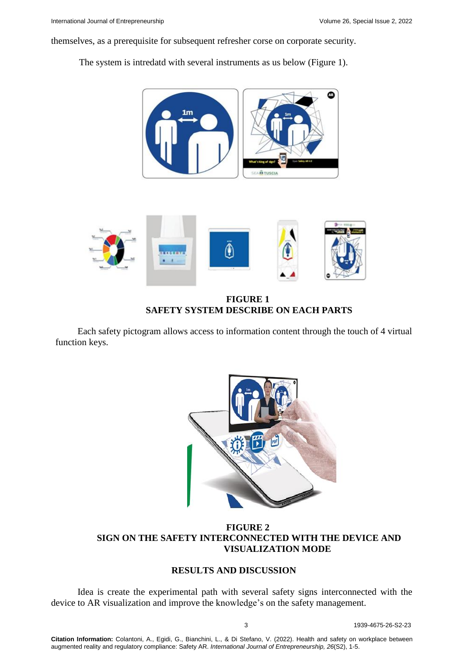themselves, as a prerequisite for subsequent refresher corse on corporate security.

The system is intredatd with several instruments as us below (Figure 1).





**FIGURE 1 SAFETY SYSTEM DESCRIBE ON EACH PARTS**

Each safety pictogram allows access to information content through the touch of 4 virtual function keys.



**FIGURE 2 SIGN ON THE SAFETY INTERCONNECTED WITH THE DEVICE AND VISUALIZATION MODE**

## **RESULTS AND DISCUSSION**

Idea is create the experimental path with several safety signs interconnected with the device to AR visualization and improve the knowledge's on the safety management.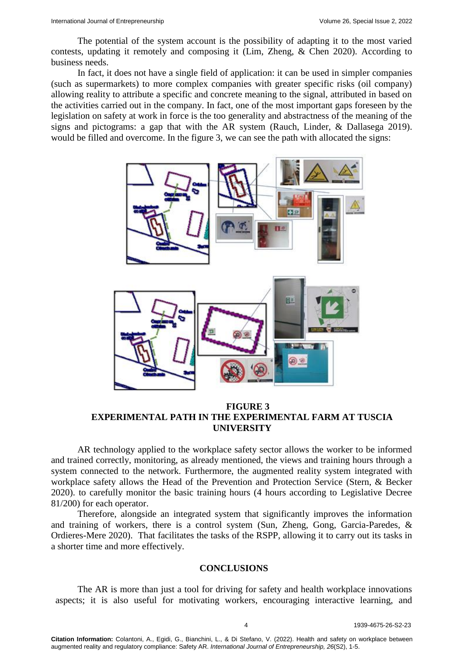The potential of the system account is the possibility of adapting it to the most varied contests, updating it remotely and composing it (Lim, Zheng, & Chen 2020). According to business needs.

In fact, it does not have a single field of application: it can be used in simpler companies (such as supermarkets) to more complex companies with greater specific risks (oil company) allowing reality to attribute a specific and concrete meaning to the signal, attributed in based on the activities carried out in the company. In fact, one of the most important gaps foreseen by the legislation on safety at work in force is the too generality and abstractness of the meaning of the signs and pictograms: a gap that with the AR system (Rauch, Linder, & Dallasega 2019). would be filled and overcome. In the figure 3, we can see the path with allocated the signs:



# **FIGURE 3 EXPERIMENTAL PATH IN THE EXPERIMENTAL FARM AT TUSCIA UNIVERSITY**

AR technology applied to the workplace safety sector allows the worker to be informed and trained correctly, monitoring, as already mentioned, the views and training hours through a system connected to the network. Furthermore, the augmented reality system integrated with workplace safety allows the Head of the Prevention and Protection Service (Stern, & Becker 2020). to carefully monitor the basic training hours (4 hours according to Legislative Decree 81/200) for each operator.

Therefore, alongside an integrated system that significantly improves the information and training of workers, there is a control system (Sun, Zheng, Gong, Garcia-Paredes, & Ordieres-Mere 2020). That facilitates the tasks of the RSPP, allowing it to carry out its tasks in a shorter time and more effectively.

### **CONCLUSIONS**

The AR is more than just a tool for driving for safety and health workplace innovations aspects; it is also useful for motivating workers, encouraging interactive learning, and